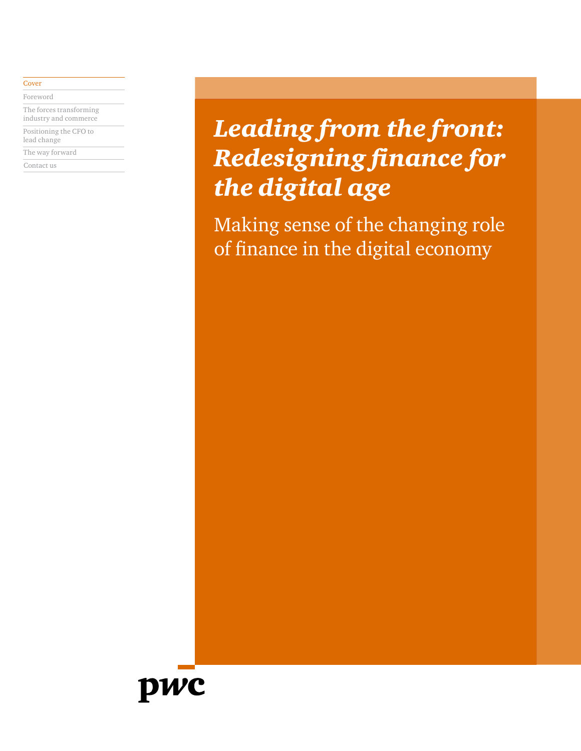#### **[Cover](#page-0-0)**

[Foreword](#page-1-0)

[The forces transforming](#page-2-0)  [industry and commerce](#page-2-0) [Positioning the CFO to](#page-5-0) 

[lead change](#page-5-0)

[The way forward](#page-23-0)

[Contact us](#page-24-0)

# <span id="page-0-0"></span>*Leading from the front: Redesigning finance for the digital age*

Making sense of the changing role of finance in the digital economy

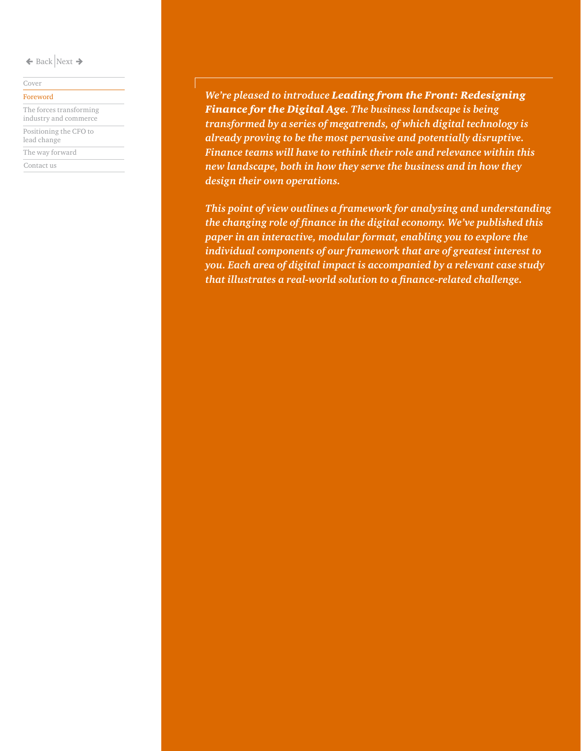#### [Cover](#page-0-0)

[The forces transforming](#page-2-0)  [industry and commerce](#page-2-0) [Positioning the CFO to](#page-5-0)  [lead change](#page-5-0)

[The way forward](#page-23-0)

[Contact us](#page-24-0)

[Foreword](#page-1-0) *We're pleased to introduce Leading from the Front: Redesigning Finance for the Digital Age. The business landscape is being transformed by a series of megatrends, of which digital technology is already proving to be the most pervasive and potentially disruptive. Finance teams will have to rethink their role and relevance within this new landscape, both in how they serve the business and in how they design their own operations.* 

> <span id="page-1-0"></span>*This point of view outlines a framework for analyzing and understanding the changing role of finance in the digital economy. We've published this paper in an interactive, modular format, enabling you to explore the individual components of our framework that are of greatest interest to you. Each area of digital impact is accompanied by a relevant case study that illustrates a real-world solution to a finance-related challenge.*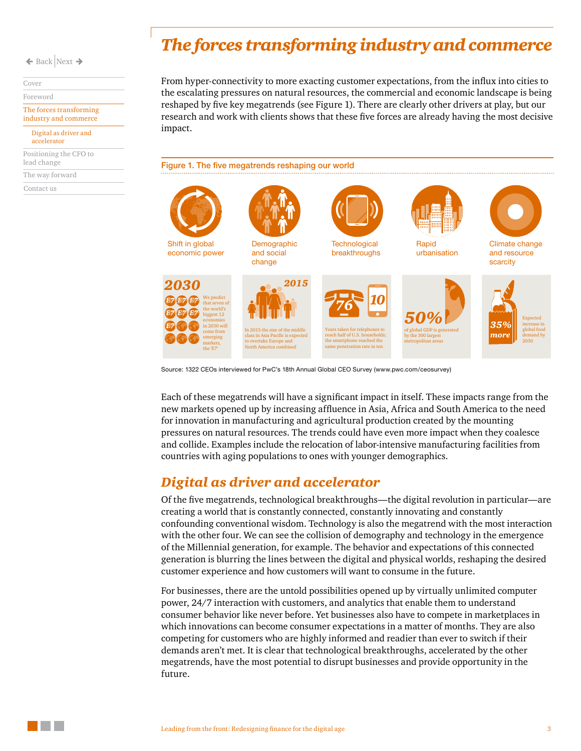[Cover](#page-0-0)

[Foreword](#page-1-0)

[The forces transforming](#page-2-0)  industry and commerce

[Digital as driver and](#page-2-1)  [accelerator](#page-2-1)

[Positioning the CFO to](#page-5-0)  [lead change](#page-5-0)

[The way forward](#page-23-0)

. .

[Contact us](#page-24-0)

## <span id="page-2-0"></span>*The forces transforming industry and commerce*

From hyper-connectivity to more exacting customer expectations, from the influx into cities to the escalating pressures on natural resources, the commercial and economic landscape is being reshaped by five key megatrends (see Figure 1). There are clearly other drivers at play, but our research and work with clients shows that these five forces are already having the most decisive impact.

Figure 1. The five megatrends reshaping our world



Source: 1322 CEOs interviewed for PwC's 18th Annual Global CEO Survey (www.pwc.com/ceosurvey)

Each of these megatrends will have a significant impact in itself. These impacts range from the new markets opened up by increasing affluence in Asia, Africa and South America to the need for innovation in manufacturing and agricultural production created by the mounting pressures on natural resources. The trends could have even more impact when they coalesce and collide. Examples include the relocation of labor-intensive manufacturing facilities from countries with aging populations to ones with younger demographics.

### <span id="page-2-1"></span>*Digital as driver and accelerator*

Of the five megatrends, technological breakthroughs—the digital revolution in particular—are creating a world that is constantly connected, constantly innovating and constantly confounding conventional wisdom. Technology is also the megatrend with the most interaction with the other four. We can see the collision of demography and technology in the emergence of the Millennial generation, for example. The behavior and expectations of this connected generation is blurring the lines between the digital and physical worlds, reshaping the desired customer experience and how customers will want to consume in the future.

For businesses, there are the untold possibilities opened up by virtually unlimited computer power, 24/7 interaction with customers, and analytics that enable them to understand consumer behavior like never before. Yet businesses also have to compete in marketplaces in which innovations can become consumer expectations in a matter of months. They are also competing for customers who are highly informed and readier than ever to switch if their demands aren't met. It is clear that technological breakthroughs, accelerated by the other megatrends, have the most potential to disrupt businesses and provide opportunity in the future.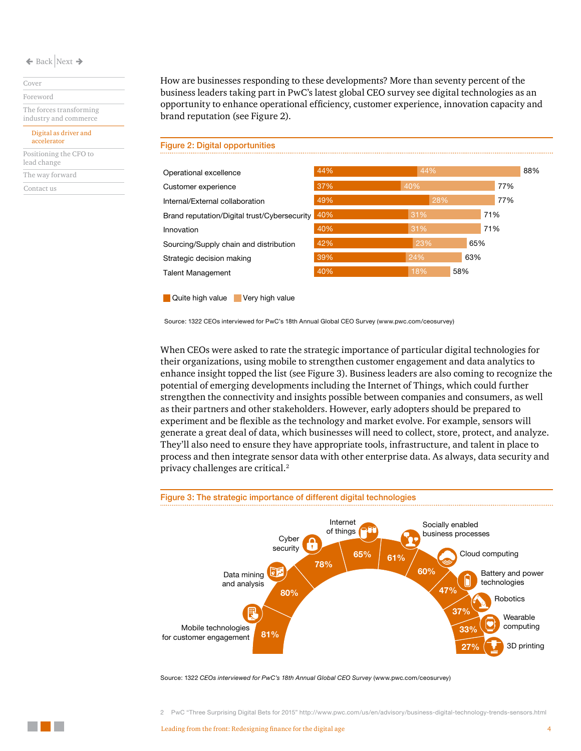[Cover](#page-0-0)

[Foreword](#page-1-0)

[The forces transforming](#page-2-0)  industry and commerce

[Digital as driver and](#page-2-1)  [accelerator](#page-2-1)

[Positioning the CFO to](#page-5-0)  [lead change](#page-5-0)

[The way forward](#page-23-0)

[Contact us](#page-24-0)

How are businesses responding to these developments? More than seventy percent of the business leaders taking part in PwC's latest global CEO survey see digital technologies as an opportunity to enhance operational efficiency, customer experience, innovation capacity and brand reputation (see Figure 2).



**Quite high value** Very high value

Source: 1322 CEOs interviewed for PwC's 18th Annual Global CEO Survey [\(www.pwc.com/ceosurvey](http://www.pwc.com/ceosurvey))

When CEOs were asked to rate the strategic importance of particular digital technologies for their organizations, using mobile to strengthen customer engagement and data analytics to enhance insight topped the list (see Figure 3). Business leaders are also coming to recognize the potential of emerging developments including the Internet of Things, which could further strengthen the connectivity and insights possible between companies and consumers, as well as their partners and other stakeholders. However, early adopters should be prepared to experiment and be flexible as the technology and market evolve. For example, sensors will generate a great deal of data, which businesses will need to collect, store, protect, and analyze. They'll also need to ensure they have appropriate tools, infrastructure, and talent in place to process and then integrate sensor data with other enterprise data. As always, data security and privacy challenges are critical.<sup>2</sup>





Source: 1322 *CEOs interviewed for PwC's 18th Annual Global CEO Survey* (www.pwc.com/ceosurvey)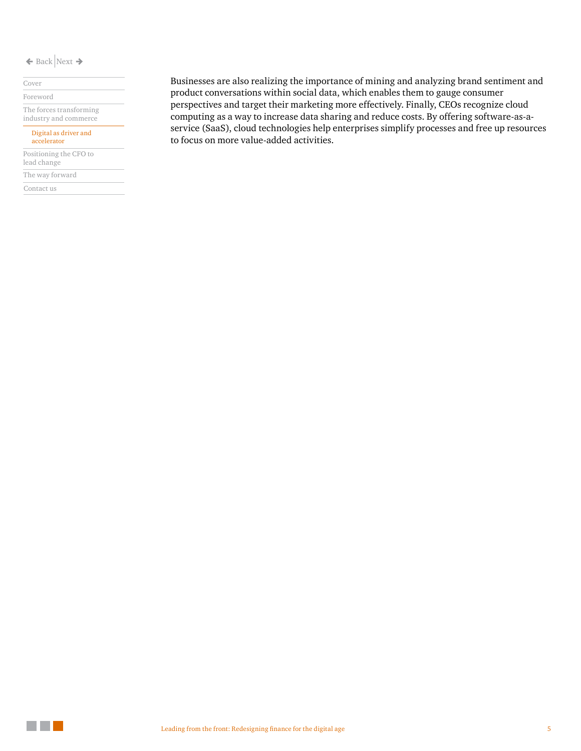#### [Cover](#page-0-0)

[Foreword](#page-1-0)

[The forces transforming](#page-2-0)  industry and commerce

#### [Digital as driver and](#page-2-1)

[accelerator](#page-2-1)

[Positioning the CFO to](#page-5-0)  [lead change](#page-5-0)

[The way forward](#page-23-0)

[Contact us](#page-24-0)

Businesses are also realizing the importance of mining and analyzing brand sentiment and product conversations within social data, which enables them to gauge consumer perspectives and target their marketing more effectively. Finally, CEOs recognize cloud computing as a way to increase data sharing and reduce costs. By offering software-as-aservice (SaaS), cloud technologies help enterprises simplify processes and free up resources to focus on more value-added activities.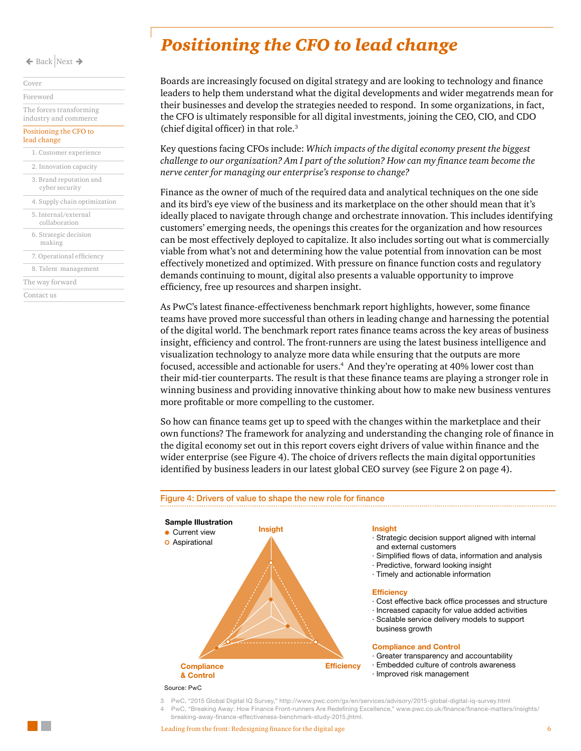| Cover |                                                  |
|-------|--------------------------------------------------|
|       | Foreword                                         |
|       | The forces transforming<br>industry and commerce |
|       | Positioning the CFO to<br>lead change            |
|       | 1. Customer experience                           |
|       | 2. Innovation capacity                           |
|       | 3. Brand reputation and<br>cyber security        |
|       | 4. Supply chain optimization                     |
|       | 5. Internal/external<br>collaboration            |
|       | 6. Strategic decision<br>making                  |
|       | 7. Operational efficiency                        |
|       | 8. Talent management                             |
|       | The way forward                                  |
|       | Contact us                                       |

### <span id="page-5-0"></span>*Positioning the CFO to lead change*

Boards are increasingly focused on digital strategy and are looking to technology and finance leaders to help them understand what the digital developments and wider megatrends mean for their businesses and develop the strategies needed to respond. In some organizations, in fact, the CFO is ultimately responsible for all digital investments, joining the CEO, CIO, and CDO (chief digital officer) in that role.<sup>3</sup>

Key questions facing CFOs include: *Which impacts of the digital economy present the biggest challenge to our organization? Am I part of the solution? How can my finance team become the nerve center for managing our enterprise's response to change?*

Finance as the owner of much of the required data and analytical techniques on the one side and its bird's eye view of the business and its marketplace on the other should mean that it's ideally placed to navigate through change and orchestrate innovation. This includes identifying customers' emerging needs, the openings this creates for the organization and how resources can be most effectively deployed to capitalize. It also includes sorting out what is commercially viable from what's not and determining how the value potential from innovation can be most effectively monetized and optimized. With pressure on finance function costs and regulatory demands continuing to mount, digital also presents a valuable opportunity to improve efficiency, free up resources and sharpen insight.

As PwC's latest finance-effectiveness benchmark report highlights, however, some finance teams have proved more successful than others in leading change and harnessing the potential of the digital world. The benchmark report rates finance teams across the key areas of business insight, efficiency and control. The front-runners are using the latest business intelligence and visualization technology to analyze more data while ensuring that the outputs are more focused, accessible and actionable for users.<sup>4</sup> And they're operating at 40% lower cost than their mid-tier counterparts. The result is that these finance teams are playing a stronger role in winning business and providing innovative thinking about how to make new business ventures more profitable or more compelling to the customer.

So how can finance teams get up to speed with the changes within the marketplace and their own functions? The framework for analyzing and understanding the changing role of finance in the digital economy set out in this report covers eight drivers of value within finance and the wider enterprise (see Figure 4). The choice of drivers reflects the main digital opportunities identified by business leaders in our latest global CEO survey (see Figure 2 on page 4).



3 PwC, "2015 Global Digital IQ Survey," http://www.pwc.com/gx/en/services/advisory/2015-global-digital-iq-survey.html 4 PwC, "Breaking Away: How Finance Front-runners Are Redefining Excellence," www.pwc.co.uk/finance/finance-matters/insights/

breaking-away-finance-effectiveness-benchmark-study-2015.jhtml.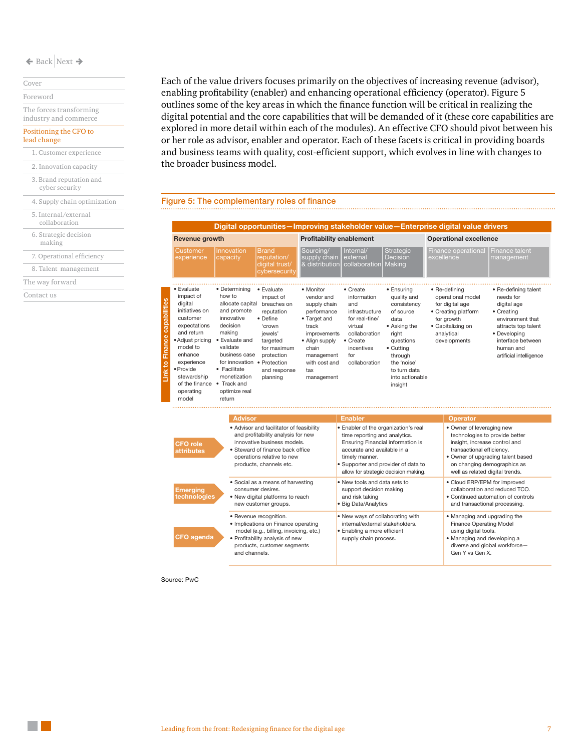#### [Cover](#page-0-0) [Foreword](#page-1-0)

[The forces transforming](#page-2-0) 

### [industry and commerce](#page-2-0)

#### [Positioning the CFO to](#page-5-0)  [lead change](#page-5-0)

- [1. Customer experience](#page-7-0) [3. Brand reputation and](#page-11-0)  cyber security [2. Innovation capacity](#page-9-0)
- [4. Supply chain optimization](#page-12-0)
- [5. Internal/external](#page-14-0)
- collaboration [6. Strategic decision](#page-16-0)
- making
- [7. Operational efficiency](#page-18-0)
- [8. Talent management](#page-21-0)
- [The way forward](#page-23-0)

[Contact us](#page-24-0)

Each of the value drivers focuses primarily on the objectives of increasing revenue (advisor), enabling profitability (enabler) and enhancing operational efficiency (operator). Figure 5 outlines some of the key areas in which the finance function will be critical in realizing the digital potential and the core capabilities that will be demanded of it (these core capabilities are explored in more detail within each of the modules). An effective CFO should pivot between his or her role as advisor, enabler and operator. Each of these facets is critical in providing boards and business teams with quality, cost-efficient support, which evolves in line with changes to the broader business model.

#### Figure 5: The complementary roles of finance

|                                                                                                                                                                                                                                         |                                                                                                                                                                                      |                                                                                                                                                                                                                                                                                                                                                                                                     |                                             |                                                                                                                                                                                                                                                                                                                                                      |                                               | Digital opportunities-Improving stakeholder value-Enterprise digital value drivers                                                                                                                                                                                                                                                      |                                                                                                    |
|-----------------------------------------------------------------------------------------------------------------------------------------------------------------------------------------------------------------------------------------|--------------------------------------------------------------------------------------------------------------------------------------------------------------------------------------|-----------------------------------------------------------------------------------------------------------------------------------------------------------------------------------------------------------------------------------------------------------------------------------------------------------------------------------------------------------------------------------------------------|---------------------------------------------|------------------------------------------------------------------------------------------------------------------------------------------------------------------------------------------------------------------------------------------------------------------------------------------------------------------------------------------------------|-----------------------------------------------|-----------------------------------------------------------------------------------------------------------------------------------------------------------------------------------------------------------------------------------------------------------------------------------------------------------------------------------------|----------------------------------------------------------------------------------------------------|
| <b>Revenue growth</b>                                                                                                                                                                                                                   |                                                                                                                                                                                      | <b>Profitability enablement</b>                                                                                                                                                                                                                                                                                                                                                                     |                                             |                                                                                                                                                                                                                                                                                                                                                      | <b>Operational excellence</b>                 |                                                                                                                                                                                                                                                                                                                                         |                                                                                                    |
| <b>Customer</b><br>experience                                                                                                                                                                                                           | Innovation<br>capacity                                                                                                                                                               | Brand<br>reputation/<br>digital trust/<br>cybersecurity                                                                                                                                                                                                                                                                                                                                             | Sourcing/<br>supply chain<br>& distribution | Internal/<br>external<br>collaboration                                                                                                                                                                                                                                                                                                               | <b>Strategic</b><br><b>Decision</b><br>Making | <b>Finance operational</b><br>excellence                                                                                                                                                                                                                                                                                                | Finance talent<br>management                                                                       |
| · Evaluate<br>impact of<br>digital<br>initiatives on<br>customer<br>expectations<br>and return<br>• Adjust pricing<br>model to<br>enhance<br>experience<br>· Provide<br>stewardship<br>of the finance • Track and<br>operating<br>model | • Determining<br>how to<br>and promote<br>innovative<br>decision<br>making<br>• Evaluate and<br>validate<br>business case<br>• Facilitate<br>monetization<br>optimize real<br>return | • Evaluate<br>• Monitor<br>vendor and<br>impact of<br>allocate capital breaches on<br>supply chain<br>reputation<br>performance<br>• Define<br>• Target and<br>'crown<br>track<br><i>improvements</i><br>iewels'<br>• Align supply<br>targeted<br>chain<br>for maximum<br>protection<br>management<br>for innovation . Protection<br>with cost and<br>and response<br>tax<br>planning<br>management |                                             | • Create<br>• Ensuring<br>information<br>quality and<br>and<br>consistency<br>of source<br>infrastructure<br>for real-tine/<br>data<br>virtual<br>• Asking the<br>collaboration<br>riaht<br>$\bullet$ Create<br>questions<br>incentives<br>• Cutting<br>for<br>through<br>the 'noise'<br>collaboration<br>to turn data<br>into actionable<br>insight |                                               | • Re-defining<br>• Re-defining talent<br>operational model<br>needs for<br>for digital age<br>digital age<br>• Creating platform<br>• Creating<br>for growth<br>environment that<br>· Capitalizing on<br>attracts top talent<br>analytical<br>• Developing<br>developments<br>interface between<br>human and<br>artificial intelligence |                                                                                                    |
|                                                                                                                                                                                                                                         | <b>Advisor</b>                                                                                                                                                                       |                                                                                                                                                                                                                                                                                                                                                                                                     |                                             | <b>Enabler</b>                                                                                                                                                                                                                                                                                                                                       |                                               | <b>Operator</b>                                                                                                                                                                                                                                                                                                                         |                                                                                                    |
| <b>CFO</b> role<br><b>attributes</b>                                                                                                                                                                                                    |                                                                                                                                                                                      | • Advisor and facilitator of feasibility<br>and profitability analysis for new<br>innovative business models.<br>• Steward of finance back office<br>operations relative to new<br>products, channels etc.                                                                                                                                                                                          |                                             | · Enabler of the organization's real<br>time reporting and analytics.<br>Ensuring Financial information is<br>accurate and available in a<br>timely manner.<br>· Supporter and provider of data to                                                                                                                                                   | allow for strategic decision making.          | • Owner of leveraging new<br>insight, increase control and<br>transactional efficiency.<br>well as related digital trends.                                                                                                                                                                                                              | technologies to provide better<br>• Owner of upgrading talent based<br>on changing demographics as |
| <b>Emerging</b><br>technologies                                                                                                                                                                                                         | · Social as a means of harvesting<br>consumer desires.<br>• New digital platforms to reach<br>new customer groups.                                                                   |                                                                                                                                                                                                                                                                                                                                                                                                     |                                             | . New tools and data sets to<br>support decision making<br>and risk taking<br>· Big Data/Analytics                                                                                                                                                                                                                                                   |                                               | • Cloud ERP/EPM for improved<br>collaboration and reduced TCO.<br>• Continued automation of controls<br>and transactional processing.                                                                                                                                                                                                   |                                                                                                    |
| <b>CFO</b> agenda                                                                                                                                                                                                                       | and channels.                                                                                                                                                                        | • Revenue recognition.<br>· Implications on Finance operating<br>model (e.g., billing, invoicing, etc.)<br>• Profitability analysis of new<br>products, customer segments                                                                                                                                                                                                                           |                                             | . New ways of collaborating with<br>internal/external stakeholders.<br>· Enabling a more efficient<br>supply chain process.                                                                                                                                                                                                                          |                                               | • Managing and upgrading the<br>Finance Operating Model<br>using digital tools.<br>• Managing and developing a<br>Gen Y vs Gen X.                                                                                                                                                                                                       | diverse and global workforce-                                                                      |

Source: PwC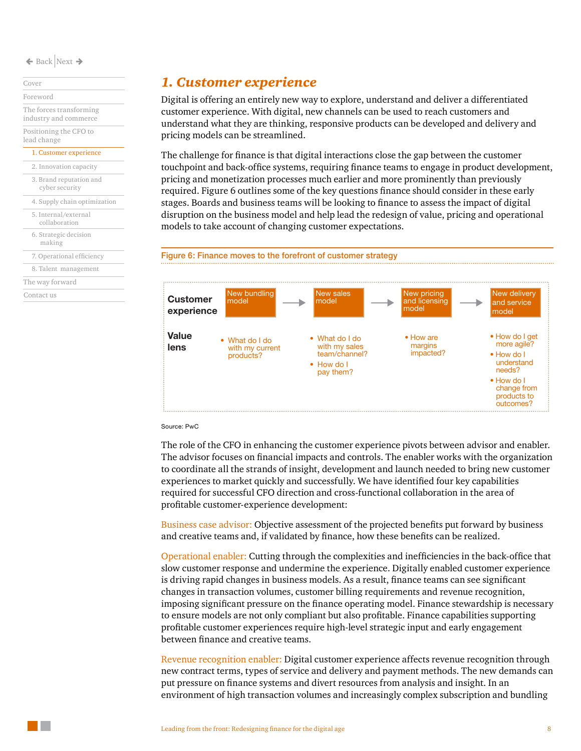[Cover](#page-0-0) [Foreword](#page-1-0) [The forces transforming](#page-2-0)  [industry and commerce](#page-2-0)

[Positioning the CFO to](#page-5-0)  [lead change](#page-5-0)

### [1. Customer experience](#page-7-0)

[3. Brand reputation and](#page-11-0)  cyber security [2. Innovation capacity](#page-9-0)

[4. Supply chain optimization](#page-12-0)  [5. Internal/external](#page-14-0) 

collaboration

[6. Strategic decision](#page-16-0)  making

[7. Operational efficiency](#page-18-0) [8. Talent management](#page-21-0)

[The way forward](#page-23-0)

[Contact us](#page-24-0)

### <span id="page-7-0"></span>*1. Customer experience*

Digital is offering an entirely new way to explore, understand and deliver a differentiated customer experience. With digital, new channels can be used to reach customers and understand what they are thinking, responsive products can be developed and delivery and pricing models can be streamlined.

The challenge for finance is that digital interactions close the gap between the customer touchpoint and back-office systems, requiring finance teams to engage in product development, pricing and monetization processes much earlier and more prominently than previously required. Figure 6 outlines some of the key questions finance should consider in these early stages. Boards and business teams will be looking to finance to assess the impact of digital disruption on the business model and help lead the redesign of value, pricing and operational models to take account of changing customer expectations.





#### Source: PwC

The role of the CFO in enhancing the customer experience pivots between advisor and enabler. The advisor focuses on financial impacts and controls. The enabler works with the organization to coordinate all the strands of insight, development and launch needed to bring new customer experiences to market quickly and successfully. We have identified four key capabilities required for successful CFO direction and cross-functional collaboration in the area of profitable customer-experience development:

Business case advisor: Objective assessment of the projected benefits put forward by business and creative teams and, if validated by finance, how these benefits can be realized.

Operational enabler: Cutting through the complexities and inefficiencies in the back-office that slow customer response and undermine the experience. Digitally enabled customer experience is driving rapid changes in business models. As a result, finance teams can see significant changes in transaction volumes, customer billing requirements and revenue recognition, imposing significant pressure on the finance operating model. Finance stewardship is necessary to ensure models are not only compliant but also profitable. Finance capabilities supporting profitable customer experiences require high-level strategic input and early engagement between finance and creative teams.

Revenue recognition enabler: Digital customer experience affects revenue recognition through new contract terms, types of service and delivery and payment methods. The new demands can put pressure on finance systems and divert resources from analysis and insight. In an environment of high transaction volumes and increasingly complex subscription and bundling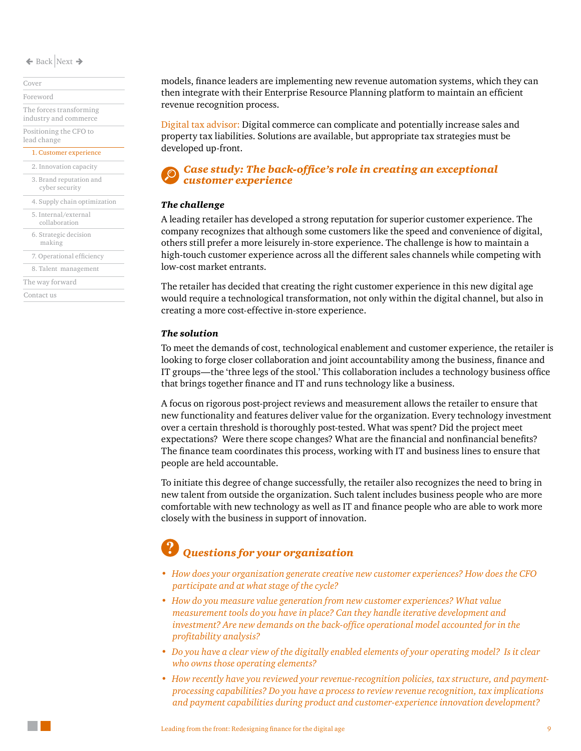[Cover](#page-0-0) [Foreword](#page-1-0)

[The forces transforming](#page-2-0)  [industry and commerce](#page-2-0) [Positioning the CFO to](#page-5-0) 

[lead change](#page-5-0) [1. Customer experience](#page-7-0)

[2. Innovation capacity](#page-9-0)

[3. Brand reputation and](#page-11-0)  cyber security

[4. Supply chain optimization](#page-12-0)  [5. Internal/external](#page-14-0)  collaboration [7. Operational efficiency](#page-18-0) [8. Talent management](#page-21-0) [6. Strategic decision](#page-16-0)  making

[The way forward](#page-23-0)

[Contact us](#page-24-0)

models, finance leaders are implementing new revenue automation systems, which they can then integrate with their Enterprise Resource Planning platform to maintain an efficient revenue recognition process.

Digital tax advisor: Digital commerce can complicate and potentially increase sales and property tax liabilities. Solutions are available, but appropriate tax strategies must be developed up-front.

#### *Case study: The back-office's role in creating an exceptional customer experience*

#### *The challenge*

A leading retailer has developed a strong reputation for superior customer experience. The company recognizes that although some customers like the speed and convenience of digital, others still prefer a more leisurely in-store experience. The challenge is how to maintain a high-touch customer experience across all the different sales channels while competing with low-cost market entrants.

The retailer has decided that creating the right customer experience in this new digital age would require a technological transformation, not only within the digital channel, but also in creating a more cost-effective in-store experience.

#### *The solution*

To meet the demands of cost, technological enablement and customer experience, the retailer is looking to forge closer collaboration and joint accountability among the business, finance and IT groups—the 'three legs of the stool.' This collaboration includes a technology business office that brings together finance and IT and runs technology like a business.

A focus on rigorous post-project reviews and measurement allows the retailer to ensure that new functionality and features deliver value for the organization. Every technology investment over a certain threshold is thoroughly post-tested. What was spent? Did the project meet expectations? Were there scope changes? What are the financial and nonfinancial benefits? The finance team coordinates this process, working with IT and business lines to ensure that people are held accountable.

To initiate this degree of change successfully, the retailer also recognizes the need to bring in new talent from outside the organization. Such talent includes business people who are more comfortable with new technology as well as IT and finance people who are able to work more closely with the business in support of innovation.

- *• How does your organization generate creative new customer experiences? How does the CFO participate and at what stage of the cycle?*
- *• How do you measure value generation from new customer experiences? What value measurement tools do you have in place? Can they handle iterative development and investment? Are new demands on the back-office operational model accounted for in the profitability analysis?*
- *• Do you have a clear view of the digitally enabled elements of your operating model? Is it clear who owns those operating elements?*
- *• How recently have you reviewed your revenue-recognition policies, tax structure, and paymentprocessing capabilities? Do you have a process to review revenue recognition, tax implications and payment capabilities during product and customer-experience innovation development?*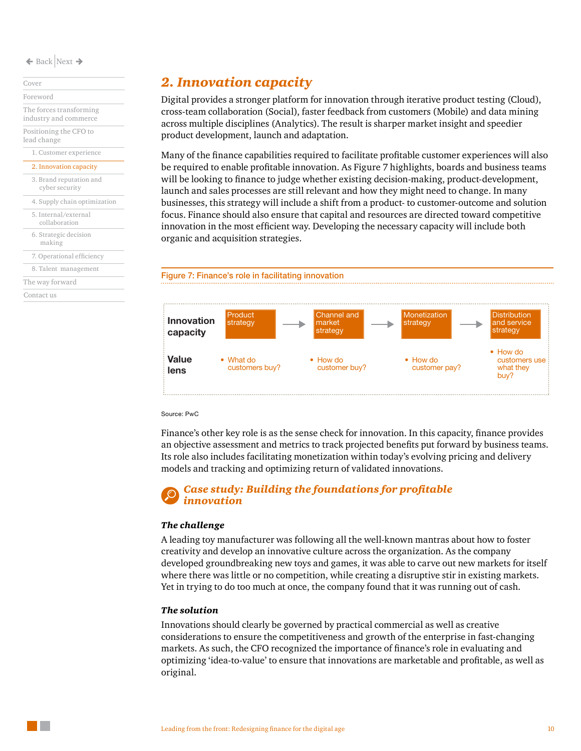[Cover](#page-0-0) [Foreword](#page-1-0)

[The forces transforming](#page-2-0)  [industry and commerce](#page-2-0) [Positioning the CFO to](#page-5-0) 

[lead change](#page-5-0)

### [1. Customer experience](#page-7-0)

[2. Innovation capacity](#page-9-0)

| 3. Brand reputation and |  |
|-------------------------|--|
| cyper security          |  |

- [4. Supply chain optimization](#page-12-0)
- [5. Internal/external](#page-14-0)  collaboration

[6. Strategic decision](#page-16-0) 

making

[7. Operational efficiency](#page-18-0)

[8. Talent management](#page-21-0)

[The way forward](#page-23-0)

[Contact us](#page-24-0)

### <span id="page-9-0"></span>*2. Innovation capacity*

Digital provides a stronger platform for innovation through iterative product testing (Cloud), cross-team collaboration (Social), faster feedback from customers (Mobile) and data mining across multiple disciplines (Analytics). The result is sharper market insight and speedier product development, launch and adaptation.

Many of the finance capabilities required to facilitate profitable customer experiences will also be required to enable profitable innovation. As Figure 7 highlights, boards and business teams will be looking to finance to judge whether existing decision-making, product-development, launch and sales processes are still relevant and how they might need to change. In many businesses, this strategy will include a shift from a product- to customer-outcome and solution focus. Finance should also ensure that capital and resources are directed toward competitive innovation in the most efficient way. Developing the necessary capacity will include both organic and acquisition strategies.





Source: PwC

Finance's other key role is as the sense check for innovation. In this capacity, finance provides an objective assessment and metrics to track projected benefits put forward by business teams. Its role also includes facilitating monetization within today's evolving pricing and delivery models and tracking and optimizing return of validated innovations.

#### *Case study: Building the foundations for profitable innovation*

#### *The challenge*

A leading toy manufacturer was following all the well-known mantras about how to foster creativity and develop an innovative culture across the organization. As the company developed groundbreaking new toys and games, it was able to carve out new markets for itself where there was little or no competition, while creating a disruptive stir in existing markets. Yet in trying to do too much at once, the company found that it was running out of cash.

#### *The solution*

Innovations should clearly be governed by practical commercial as well as creative considerations to ensure the competitiveness and growth of the enterprise in fast-changing markets. As such, the CFO recognized the importance of finance's role in evaluating and optimizing 'idea-to-value' to ensure that innovations are marketable and profitable, as well as original.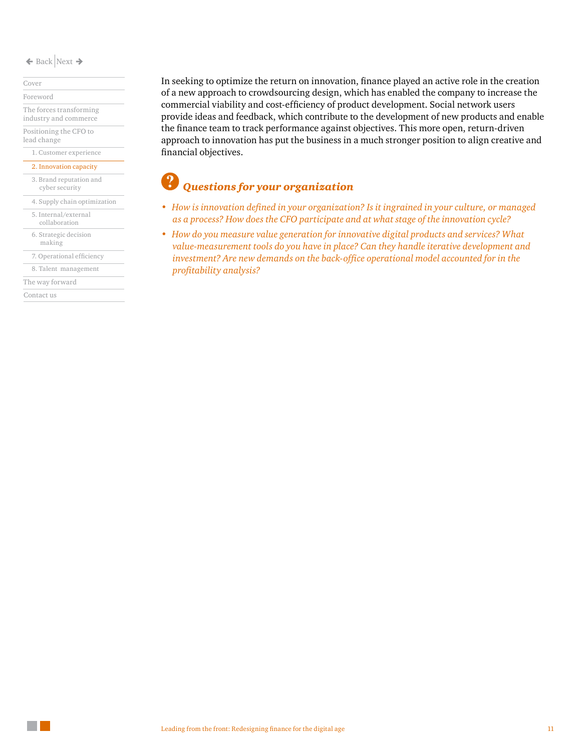[Cover](#page-0-0)

[Foreword](#page-1-0)

[The forces transforming](#page-2-0)  [industry and commerce](#page-2-0) [Positioning the CFO to](#page-5-0) 

[lead change](#page-5-0)

#### [1. Customer experience](#page-7-0)

[2. Innovation capacity](#page-9-0)

[3. Brand reputation and](#page-11-0)  cyber security

[4. Supply chain optimization](#page-12-0) 

[5. Internal/external](#page-14-0)  collaboration

[6. Strategic decision](#page-16-0) 

making

[7. Operational efficiency](#page-18-0)

[8. Talent management](#page-21-0)

[The way forward](#page-23-0)

[Contact us](#page-24-0)

In seeking to optimize the return on innovation, finance played an active role in the creation of a new approach to crowdsourcing design, which has enabled the company to increase the commercial viability and cost-efficiency of product development. Social network users provide ideas and feedback, which contribute to the development of new products and enable the finance team to track performance against objectives. This more open, return-driven approach to innovation has put the business in a much stronger position to align creative and financial objectives.

- *• How is innovation defined in your organization? Is it ingrained in your culture, or managed as a process? How does the CFO participate and at what stage of the innovation cycle?*
- *• How do you measure value generation for innovative digital products and services? What value-measurement tools do you have in place? Can they handle iterative development and investment? Are new demands on the back-office operational model accounted for in the profitability analysis?*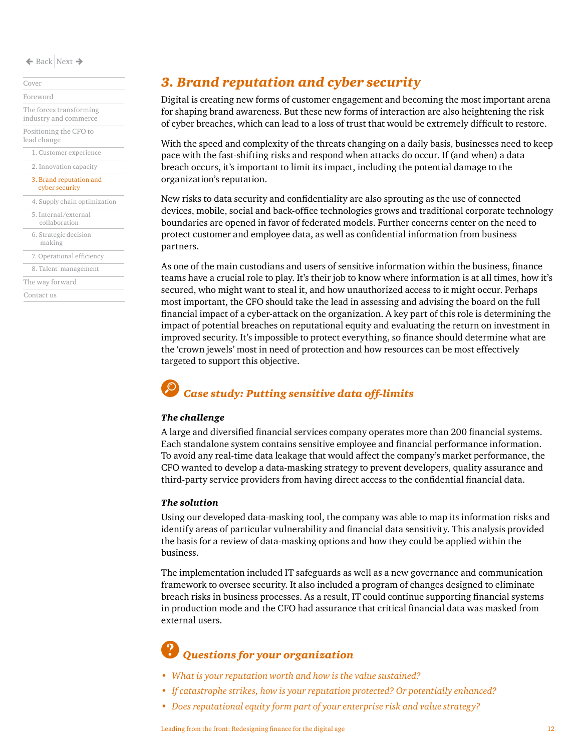[1. Customer experience](#page-7-0) [2. Innovation capacity](#page-9-0) [Cover](#page-0-0) [Foreword](#page-1-0) [The forces transforming](#page-2-0)  [industry and commerce](#page-2-0) [Positioning the CFO to](#page-5-0)  [lead change](#page-5-0) [3. Brand reputation and](#page-11-0)  cyber security

| 4. Supply chain optimization          |
|---------------------------------------|
| 5. Internal/external<br>collaboration |
| 6. Strategic decision<br>making       |
| 7. Operational efficiency             |
| 8. Talent management                  |
| The way forward                       |
| Contact us                            |
|                                       |

### <span id="page-11-0"></span>*3. Brand reputation and cyber security*

Digital is creating new forms of customer engagement and becoming the most important arena for shaping brand awareness. But these new forms of interaction are also heightening the risk of cyber breaches, which can lead to a loss of trust that would be extremely difficult to restore.

With the speed and complexity of the threats changing on a daily basis, businesses need to keep pace with the fast-shifting risks and respond when attacks do occur. If (and when) a data breach occurs, it's important to limit its impact, including the potential damage to the organization's reputation.

New risks to data security and confidentiality are also sprouting as the use of connected devices, mobile, social and back-office technologies grows and traditional corporate technology boundaries are opened in favor of federated models. Further concerns center on the need to protect customer and employee data, as well as confidential information from business partners.

As one of the main custodians and users of sensitive information within the business, finance teams have a crucial role to play. It's their job to know where information is at all times, how it's secured, who might want to steal it, and how unauthorized access to it might occur. Perhaps most important, the CFO should take the lead in assessing and advising the board on the full financial impact of a cyber-attack on the organization. A key part of this role is determining the impact of potential breaches on reputational equity and evaluating the return on investment in improved security. It's impossible to protect everything, so finance should determine what are the 'crown jewels' most in need of protection and how resources can be most effectively targeted to support this objective.

### *Case study: Putting sensitive data off-limits*

#### *The challenge*

A large and diversified financial services company operates more than 200 financial systems. Each standalone system contains sensitive employee and financial performance information. To avoid any real-time data leakage that would affect the company's market performance, the CFO wanted to develop a data-masking strategy to prevent developers, quality assurance and third-party service providers from having direct access to the confidential financial data.

#### *The solution*

Using our developed data-masking tool, the company was able to map its information risks and identify areas of particular vulnerability and financial data sensitivity. This analysis provided the basis for a review of data-masking options and how they could be applied within the business.

The implementation included IT safeguards as well as a new governance and communication framework to oversee security. It also included a program of changes designed to eliminate breach risks in business processes. As a result, IT could continue supporting financial systems in production mode and the CFO had assurance that critical financial data was masked from external users.

- *• What is your reputation worth and how is the value sustained?*
- *• If catastrophe strikes, how is your reputation protected? Or potentially enhanced?*
- *• Does reputational equity form part of your enterprise risk and value strategy?*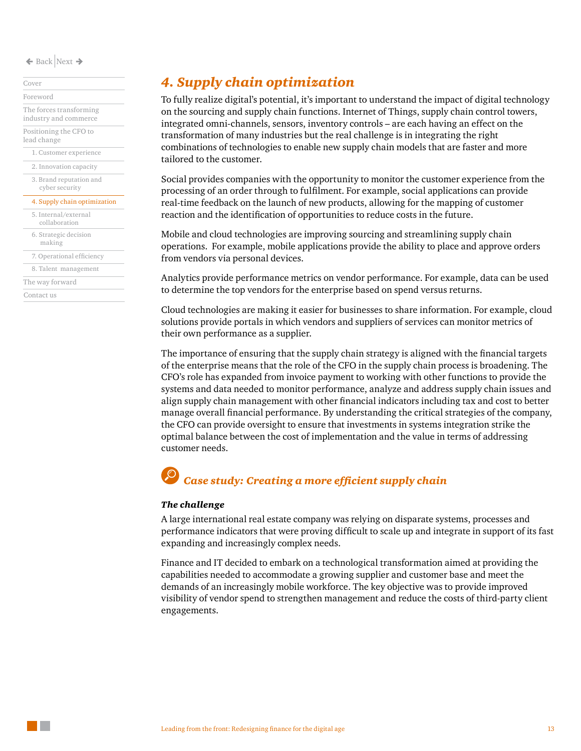[1. Customer experience](#page-7-0) [3. Brand reputation and](#page-11-0)  cyber security [5. Internal/external](#page-14-0)  collaboration [7. Operational efficiency](#page-18-0) [8. Talent management](#page-21-0) [The way forward](#page-23-0) [2. Innovation capacity](#page-9-0) [6. Strategic decision](#page-16-0)  making [Cover](#page-0-0) [Foreword](#page-1-0) [The forces transforming](#page-2-0)  [industry and commerce](#page-2-0) [Positioning the CFO to](#page-5-0)  [lead change](#page-5-0) [Contact us](#page-24-0) [4. Supply chain optimization](#page-12-0) 

### <span id="page-12-0"></span>*4. Supply chain optimization*

To fully realize digital's potential, it's important to understand the impact of digital technology on the sourcing and supply chain functions. Internet of Things, supply chain control towers, integrated omni-channels, sensors, inventory controls – are each having an effect on the transformation of many industries but the real challenge is in integrating the right combinations of technologies to enable new supply chain models that are faster and more tailored to the customer.

Social provides companies with the opportunity to monitor the customer experience from the processing of an order through to fulfilment. For example, social applications can provide real-time feedback on the launch of new products, allowing for the mapping of customer reaction and the identification of opportunities to reduce costs in the future.

Mobile and cloud technologies are improving sourcing and streamlining supply chain operations. For example, mobile applications provide the ability to place and approve orders from vendors via personal devices.

Analytics provide performance metrics on vendor performance. For example, data can be used to determine the top vendors for the enterprise based on spend versus returns.

Cloud technologies are making it easier for businesses to share information. For example, cloud solutions provide portals in which vendors and suppliers of services can monitor metrics of their own performance as a supplier.

The importance of ensuring that the supply chain strategy is aligned with the financial targets of the enterprise means that the role of the CFO in the supply chain process is broadening. The CFO's role has expanded from invoice payment to working with other functions to provide the systems and data needed to monitor performance, analyze and address supply chain issues and align supply chain management with other financial indicators including tax and cost to better manage overall financial performance. By understanding the critical strategies of the company, the CFO can provide oversight to ensure that investments in systems integration strike the optimal balance between the cost of implementation and the value in terms of addressing customer needs.

### *Case study: Creating a more efficient supply chain*

#### *The challenge*

A large international real estate company was relying on disparate systems, processes and performance indicators that were proving difficult to scale up and integrate in support of its fast expanding and increasingly complex needs.

Finance and IT decided to embark on a technological transformation aimed at providing the capabilities needed to accommodate a growing supplier and customer base and meet the demands of an increasingly mobile workforce. The key objective was to provide improved visibility of vendor spend to strengthen management and reduce the costs of third-party client engagements.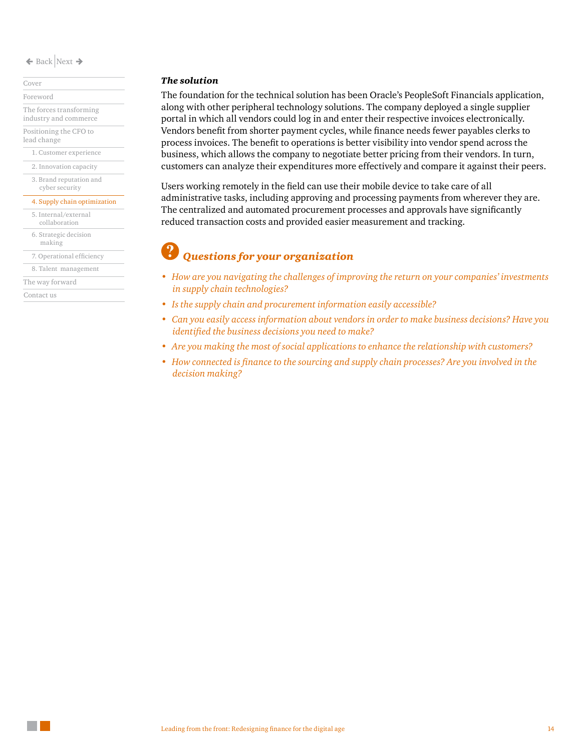[Cover](#page-0-0) [Foreword](#page-1-0)

[The forces transforming](#page-2-0)  [industry and commerce](#page-2-0) [Positioning the CFO to](#page-5-0) 

[1. Customer experience](#page-7-0) [lead change](#page-5-0)

[2. Innovation capacity](#page-9-0)

[3. Brand reputation and](#page-11-0)  cyber security

#### [4. Supply chain optimization](#page-12-0)

[5. Internal/external](#page-14-0)  collaboration [7. Operational efficiency](#page-18-0) [8. Talent management](#page-21-0) [6. Strategic decision](#page-16-0)  making

[The way forward](#page-23-0)

[Contact us](#page-24-0)

#### *The solution*

The foundation for the technical solution has been Oracle's PeopleSoft Financials application, along with other peripheral technology solutions. The company deployed a single supplier portal in which all vendors could log in and enter their respective invoices electronically. Vendors benefit from shorter payment cycles, while finance needs fewer payables clerks to process invoices. The benefit to operations is better visibility into vendor spend across the business, which allows the company to negotiate better pricing from their vendors. In turn, customers can analyze their expenditures more effectively and compare it against their peers.

Users working remotely in the field can use their mobile device to take care of all administrative tasks, including approving and processing payments from wherever they are. The centralized and automated procurement processes and approvals have significantly reduced transaction costs and provided easier measurement and tracking.

- *• How are you navigating the challenges of improving the return on your companies' investments in supply chain technologies?*
- *• Is the supply chain and procurement information easily accessible?*
- *• Can you easily access information about vendors in order to make business decisions? Have you identified the business decisions you need to make?*
- *• Are you making the most of social applications to enhance the relationship with customers?*
- *• How connected is finance to the sourcing and supply chain processes? Are you involved in the decision making?*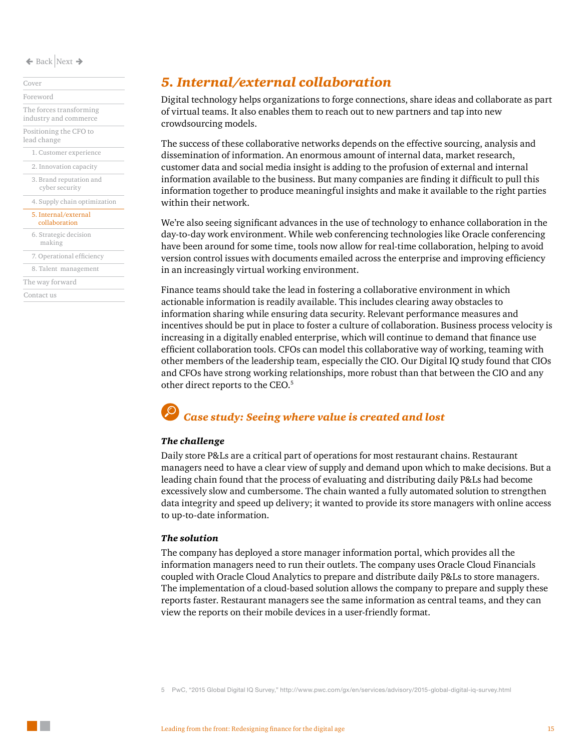[Cover](#page-0-0)

[Foreword](#page-1-0) [The forces transforming](#page-2-0)  [industry and commerce](#page-2-0) [Positioning the CFO to](#page-5-0) 

[1. Customer experience](#page-7-0) [lead change](#page-5-0)

[2. Innovation capacity](#page-9-0)

[3. Brand reputation and](#page-11-0)  cyber security

#### [4. Supply chain optimization](#page-12-0)

|  |  | 5. Internal/external |
|--|--|----------------------|
|  |  |                      |

| collaboration                   |
|---------------------------------|
| 6. Strategic decision<br>making |
| 7. Operational efficiency       |
| 8. Talent management            |
| The way forward                 |

[Contact us](#page-24-0)

### <span id="page-14-0"></span>*5. Internal/external collaboration*

Digital technology helps organizations to forge connections, share ideas and collaborate as part of virtual teams. It also enables them to reach out to new partners and tap into new crowdsourcing models.

The success of these collaborative networks depends on the effective sourcing, analysis and dissemination of information. An enormous amount of internal data, market research, customer data and social media insight is adding to the profusion of external and internal information available to the business. But many companies are finding it difficult to pull this information together to produce meaningful insights and make it available to the right parties within their network.

We're also seeing significant advances in the use of technology to enhance collaboration in the day-to-day work environment. While web conferencing technologies like Oracle conferencing have been around for some time, tools now allow for real-time collaboration, helping to avoid version control issues with documents emailed across the enterprise and improving efficiency in an increasingly virtual working environment.

Finance teams should take the lead in fostering a collaborative environment in which actionable information is readily available. This includes clearing away obstacles to information sharing while ensuring data security. Relevant performance measures and incentives should be put in place to foster a culture of collaboration. Business process velocity is increasing in a digitally enabled enterprise, which will continue to demand that finance use efficient collaboration tools. CFOs can model this collaborative way of working, teaming with other members of the leadership team, especially the CIO. Our Digital IQ study found that CIOs and CFOs have strong working relationships, more robust than that between the CIO and any other direct reports to the CEO.<sup>5</sup>

### *Case study: Seeing where value is created and lost*

#### *The challenge*

Daily store P&Ls are a critical part of operations for most restaurant chains. Restaurant managers need to have a clear view of supply and demand upon which to make decisions. But a leading chain found that the process of evaluating and distributing daily P&Ls had become excessively slow and cumbersome. The chain wanted a fully automated solution to strengthen data integrity and speed up delivery; it wanted to provide its store managers with online access to up-to-date information.

#### *The solution*

The company has deployed a store manager information portal, which provides all the information managers need to run their outlets. The company uses Oracle Cloud Financials coupled with Oracle Cloud Analytics to prepare and distribute daily P&Ls to store managers. The implementation of a cloud-based solution allows the company to prepare and supply these reports faster. Restaurant managers see the same information as central teams, and they can view the reports on their mobile devices in a user-friendly format.

5 PwC, "2015 Global Digital IQ Survey," http://www.pwc.com/gx/en/services/advisory/2015-global-digital-iq-survey.html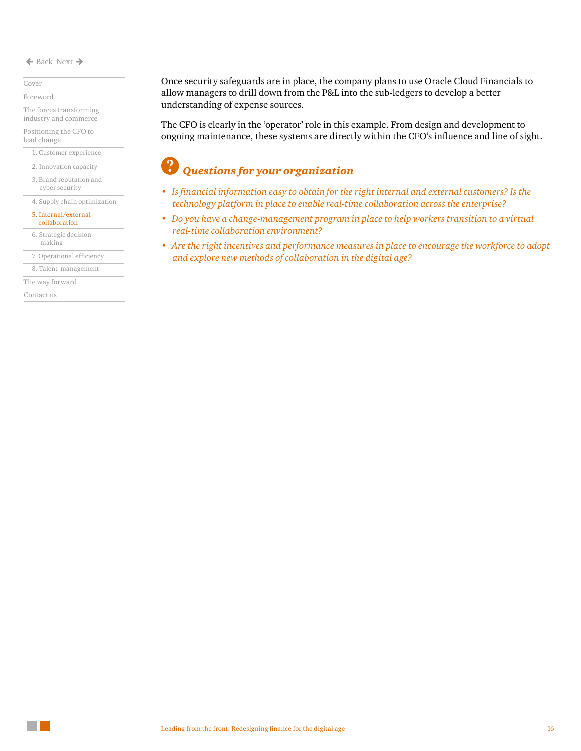[Cover](#page-0-0)

[Foreword](#page-1-0)

[The forces transforming](#page-2-0)  [industry and commerce](#page-2-0)

[Positioning the CFO to](#page-5-0)  [lead change](#page-5-0)

[1. Customer experience](#page-7-0)

[2. Innovation capacity](#page-9-0)

[3. Brand reputation and](#page-11-0)  cyber security

[4. Supply chain optimization](#page-12-0) 

#### [5. Internal/external](#page-14-0)

[6. Strategic decision](#page-16-0)  making collaboration

[7. Operational efficiency](#page-18-0)

[8. Talent management](#page-21-0)

[The way forward](#page-23-0)

[Contact us](#page-24-0)

Once security safeguards are in place, the company plans to use Oracle Cloud Financials to allow managers to drill down from the P&L into the sub-ledgers to develop a better understanding of expense sources.

The CFO is clearly in the 'operator' role in this example. From design and development to ongoing maintenance, these systems are directly within the CFO's influence and line of sight.

- *• Is financial information easy to obtain for the right internal and external customers? Is the technology platform in place to enable real-time collaboration across the enterprise?*
- *• Do you have a change-management program in place to help workers transition to a virtual real-time collaboration environment?*
- *• Are the right incentives and performance measures in place to encourage the workforce to adopt and explore new methods of collaboration in the digital age?*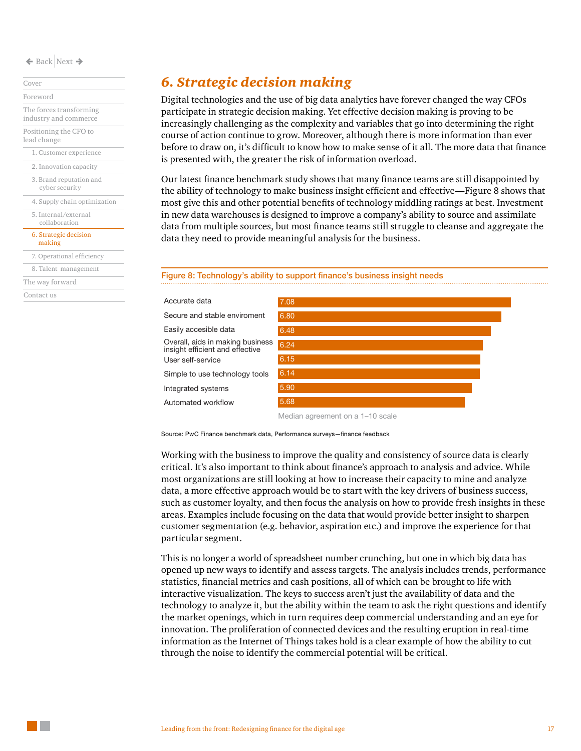[Cover](#page-0-0) [Foreword](#page-1-0) [The forces transforming](#page-2-0)  [industry and commerce](#page-2-0)

[Positioning the CFO to](#page-5-0)  [lead change](#page-5-0)

[1. Customer experience](#page-7-0)

[2. Innovation capacity](#page-9-0)

[3. Brand reputation and](#page-11-0)  cyber security

[4. Supply chain optimization](#page-12-0)  [5. Internal/external](#page-14-0) 

collaboration

[6. Strategic decision](#page-16-0)  making

[7. Operational efficiency](#page-18-0)

[8. Talent management](#page-21-0)

[The way forward](#page-23-0)

[Contact us](#page-24-0)

### <span id="page-16-0"></span>*6. Strategic decision making*

Digital technologies and the use of big data analytics have forever changed the way CFOs participate in strategic decision making. Yet effective decision making is proving to be increasingly challenging as the complexity and variables that go into determining the right course of action continue to grow. Moreover, although there is more information than ever before to draw on, it's difficult to know how to make sense of it all. The more data that finance is presented with, the greater the risk of information overload.

Our latest finance benchmark study shows that many finance teams are still disappointed by the ability of technology to make business insight efficient and effective—Figure 8 shows that most give this and other potential benefits of technology middling ratings at best. Investment in new data warehouses is designed to improve a company's ability to source and assimilate data from multiple sources, but most finance teams still struggle to cleanse and aggregate the data they need to provide meaningful analysis for the business.

#### Figure 8: Technology's ability to support finance's business insight needs



Source: PwC Finance benchmark data, Performance surveys—finance feedback

Working with the business to improve the quality and consistency of source data is clearly critical. It's also important to think about finance's approach to analysis and advice. While most organizations are still looking at how to increase their capacity to mine and analyze data, a more effective approach would be to start with the key drivers of business success, such as customer loyalty, and then focus the analysis on how to provide fresh insights in these areas. Examples include focusing on the data that would provide better insight to sharpen customer segmentation (e.g. behavior, aspiration etc.) and improve the experience for that particular segment.

This is no longer a world of spreadsheet number crunching, but one in which big data has opened up new ways to identify and assess targets. The analysis includes trends, performance statistics, financial metrics and cash positions, all of which can be brought to life with interactive visualization. The keys to success aren't just the availability of data and the technology to analyze it, but the ability within the team to ask the right questions and identify the market openings, which in turn requires deep commercial understanding and an eye for innovation. The proliferation of connected devices and the resulting eruption in real-time information as the Internet of Things takes hold is a clear example of how the ability to cut through the noise to identify the commercial potential will be critical.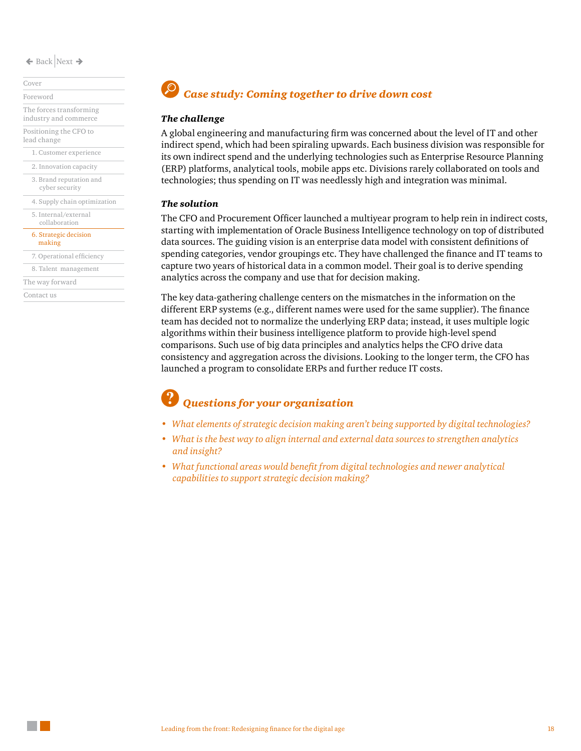#### [Cover](#page-0-0)

[Foreword](#page-1-0)

[The forces transforming](#page-2-0)  [industry and commerce](#page-2-0) [Positioning the CFO to](#page-5-0) 

[lead change](#page-5-0)

[1. Customer experience](#page-7-0)

[3. Brand reputation and](#page-11-0)  [2. Innovation capacity](#page-9-0)

cyber security

[4. Supply chain optimization](#page-12-0)  [5. Internal/external](#page-14-0) 

collaboration

[6. Strategic decision](#page-16-0)  making

[7. Operational efficiency](#page-18-0)

[8. Talent management](#page-21-0)

[The way forward](#page-23-0)

[Contact us](#page-24-0)

## *Case study: Coming together to drive down cost*

#### *The challenge*

A global engineering and manufacturing firm was concerned about the level of IT and other indirect spend, which had been spiraling upwards. Each business division was responsible for its own indirect spend and the underlying technologies such as Enterprise Resource Planning (ERP) platforms, analytical tools, mobile apps etc. Divisions rarely collaborated on tools and technologies; thus spending on IT was needlessly high and integration was minimal.

#### *The solution*

The CFO and Procurement Officer launched a multiyear program to help rein in indirect costs, starting with implementation of Oracle Business Intelligence technology on top of distributed data sources. The guiding vision is an enterprise data model with consistent definitions of spending categories, vendor groupings etc. They have challenged the finance and IT teams to capture two years of historical data in a common model. Their goal is to derive spending analytics across the company and use that for decision making.

The key data-gathering challenge centers on the mismatches in the information on the different ERP systems (e.g., different names were used for the same supplier). The finance team has decided not to normalize the underlying ERP data; instead, it uses multiple logic algorithms within their business intelligence platform to provide high-level spend comparisons. Such use of big data principles and analytics helps the CFO drive data consistency and aggregation across the divisions. Looking to the longer term, the CFO has launched a program to consolidate ERPs and further reduce IT costs.

- *• What elements of strategic decision making aren't being supported by digital technologies?*
- *• What is the best way to align internal and external data sources to strengthen analytics and insight?*
- *• What functional areas would benefit from digital technologies and newer analytical capabilities to support strategic decision making?*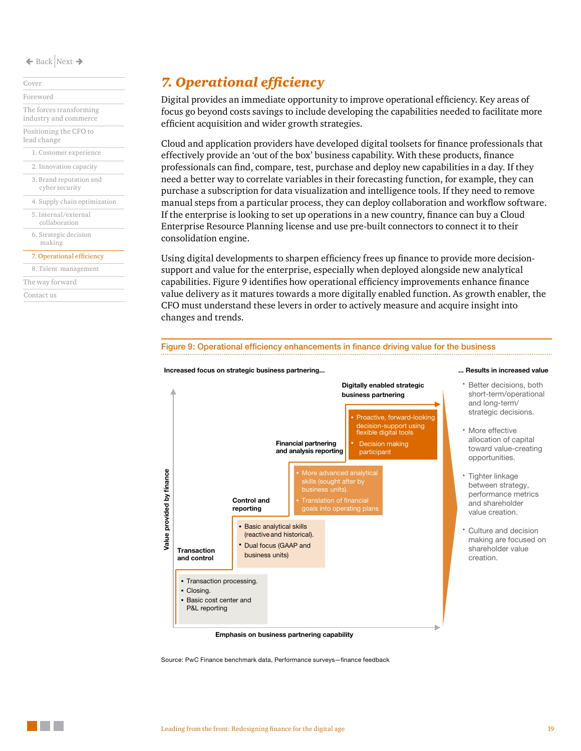[Cover](#page-0-0) [Foreword](#page-1-0)

[The forces transforming](#page-2-0)  [industry and commerce](#page-2-0) [Positioning the CFO to](#page-5-0)  [lead change](#page-5-0)

- [1. Customer experience](#page-7-0) [2. Innovation capacity](#page-9-0)
- [3. Brand reputation and](#page-11-0)  cyber security
- [4. Supply chain optimization](#page-12-0)
- [5. Internal/external](#page-14-0)  collaboration

[6. Strategic decision](#page-16-0)  making

#### [7. Operational efficiency](#page-18-0)

- [8. Talent management](#page-21-0)
- [The way forward](#page-23-0)

[Contact us](#page-24-0)

### <span id="page-18-0"></span>*7. Operational efficiency*

Digital provides an immediate opportunity to improve operational efficiency. Key areas of focus go beyond costs savings to include developing the capabilities needed to facilitate more efficient acquisition and wider growth strategies.

Cloud and application providers have developed digital toolsets for finance professionals that effectively provide an 'out of the box' business capability. With these products, finance professionals can find, compare, test, purchase and deploy new capabilities in a day. If they need a better way to correlate variables in their forecasting function, for example, they can purchase a subscription for data visualization and intelligence tools. If they need to remove manual steps from a particular process, they can deploy collaboration and workflow software. If the enterprise is looking to set up operations in a new country, finance can buy a Cloud Enterprise Resource Planning license and use pre-built connectors to connect it to their consolidation engine.

Using digital developments to sharpen efficiency frees up finance to provide more decisionsupport and value for the enterprise, especially when deployed alongside new analytical capabilities. Figure 9 identifies how operational efficiency improvements enhance finance value delivery as it matures towards a more digitally enabled function. As growth enabler, the CFO must understand these levers in order to actively measure and acquire insight into changes and trends.



#### **Emphasis on business partnering capability**

Source: PwC Finance benchmark data, Performance surveys—finance feedback

Figure 9: Operational efficiency enhancements in finance driving value for the business

- Better decisions, both short-term/operational and long-term/ strategic decisions.
- More effective allocation of capital toward value-creating opportunities.
- Tighter linkage between strategy, performance metrics and shareholder value creation.
- Culture and decision making are focused on shareholder value creation.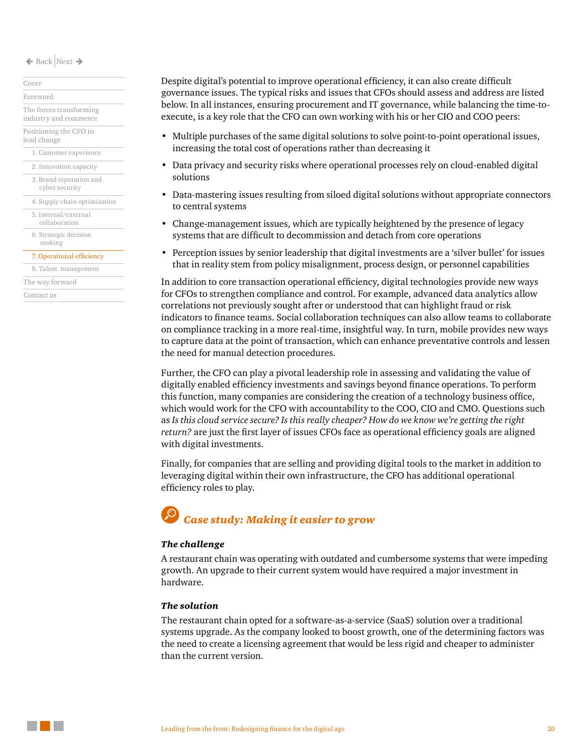[Cover](#page-0-0) [Foreword](#page-1-0)

[The forces transforming](#page-2-0)  [industry and commerce](#page-2-0)

[Positioning the CFO to](#page-5-0)  [lead change](#page-5-0)

[1. Customer experience](#page-7-0)

[2. Innovation capacity](#page-9-0)

[3. Brand reputation and](#page-11-0)  cyber security

[4. Supply chain optimization](#page-12-0) 

[5. Internal/external](#page-14-0)  collaboration

[6. Strategic decision](#page-16-0)  making

[7. Operational efficiency](#page-18-0)

[8. Talent management](#page-21-0)

[The way forward](#page-23-0)

[Contact us](#page-24-0)

Despite digital's potential to improve operational efficiency, it can also create difficult governance issues. The typical risks and issues that CFOs should assess and address are listed below. In all instances, ensuring procurement and IT governance, while balancing the time-toexecute, is a key role that the CFO can own working with his or her CIO and COO peers:

- Multiple purchases of the same digital solutions to solve point-to-point operational issues, increasing the total cost of operations rather than decreasing it
- Data privacy and security risks where operational processes rely on cloud-enabled digital solutions
- Data-mastering issues resulting from siloed digital solutions without appropriate connectors to central systems
- Change-management issues, which are typically heightened by the presence of legacy systems that are difficult to decommission and detach from core operations
- Perception issues by senior leadership that digital investments are a 'silver bullet' for issues that in reality stem from policy misalignment, process design, or personnel capabilities

In addition to core transaction operational efficiency, digital technologies provide new ways for CFOs to strengthen compliance and control. For example, advanced data analytics allow correlations not previously sought after or understood that can highlight fraud or risk indicators to finance teams. Social collaboration techniques can also allow teams to collaborate on compliance tracking in a more real-time, insightful way. In turn, mobile provides new ways to capture data at the point of transaction, which can enhance preventative controls and lessen the need for manual detection procedures.

Further, the CFO can play a pivotal leadership role in assessing and validating the value of digitally enabled efficiency investments and savings beyond finance operations. To perform this function, many companies are considering the creation of a technology business office, which would work for the CFO with accountability to the COO, CIO and CMO. Questions such as *Is this cloud service secure? Is this really cheaper? How do we know we're getting the right return?* are just the first layer of issues CFOs face as operational efficiency goals are aligned with digital investments.

Finally, for companies that are selling and providing digital tools to the market in addition to leveraging digital within their own infrastructure, the CFO has additional operational efficiency roles to play.

### *Case study: Making it easier to grow*

#### *The challenge*

A restaurant chain was operating with outdated and cumbersome systems that were impeding growth. An upgrade to their current system would have required a major investment in hardware.

#### *The solution*

The restaurant chain opted for a software-as-a-service (SaaS) solution over a traditional systems upgrade. As the company looked to boost growth, one of the determining factors was the need to create a licensing agreement that would be less rigid and cheaper to administer than the current version.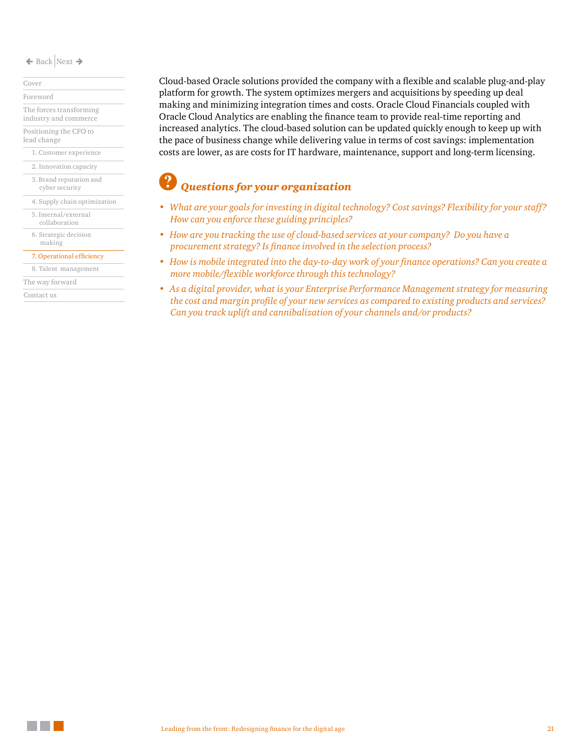[1. Customer experience](#page-7-0) [Cover](#page-0-0) [Foreword](#page-1-0) [The forces transforming](#page-2-0)  [industry and commerce](#page-2-0) [Positioning the CFO to](#page-5-0)  [lead change](#page-5-0)

[3. Brand reputation and](#page-11-0)  cyber security [2. Innovation capacity](#page-9-0)

[4. Supply chain optimization](#page-12-0)  [5. Internal/external](#page-14-0) 

collaboration

[6. Strategic decision](#page-16-0)  making

[7. Operational efficiency](#page-18-0)

[8. Talent management](#page-21-0)

[The way forward](#page-23-0)

[Contact us](#page-24-0)

Cloud-based Oracle solutions provided the company with a flexible and scalable plug-and-play platform for growth. The system optimizes mergers and acquisitions by speeding up deal making and minimizing integration times and costs. Oracle Cloud Financials coupled with Oracle Cloud Analytics are enabling the finance team to provide real-time reporting and increased analytics. The cloud-based solution can be updated quickly enough to keep up with the pace of business change while delivering value in terms of cost savings: implementation costs are lower, as are costs for IT hardware, maintenance, support and long-term licensing.

- *• What are your goals for investing in digital technology? Cost savings? Flexibility for your staff? How can you enforce these guiding principles?*
- *• How are you tracking the use of cloud-based services at your company? Do you have a procurement strategy? Is finance involved in the selection process?*
- *• How is mobile integrated into the day-to-day work of your finance operations? Can you create a more mobile/flexible workforce through this technology?*
- *• As a digital provider, what is your Enterprise Performance Management strategy for measuring the cost and margin profile of your new services as compared to existing products and services? Can you track uplift and cannibalization of your channels and/or products?*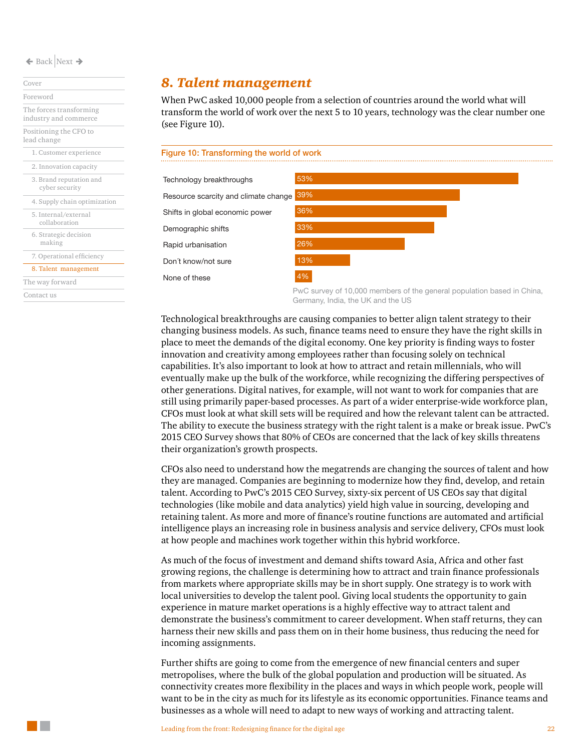[1. Customer experience](#page-7-0) [3. Brand reputation and](#page-11-0)  cyber security [4. Supply chain optimization](#page-12-0)  [5. Internal/external](#page-14-0)  collaboration [2. Innovation capacity](#page-9-0) [6. Strategic decision](#page-16-0)  making [Cover](#page-0-0) [Foreword](#page-1-0) [The forces transforming](#page-2-0)  [industry and commerce](#page-2-0) [Positioning the CFO to](#page-5-0)  [lead change](#page-5-0)

[7. Operational efficiency](#page-18-0)

#### [8. Talent management](#page-21-0)

[The way forward](#page-23-0)

[Contact us](#page-24-0)

### <span id="page-21-0"></span>*8. Talent management*

When PwC asked 10,000 people from a selection of countries around the world what will transform the world of work over the next 5 to 10 years, technology was the clear number one (see Figure 10).



PwC survey of 10,000 members of the general population based in China, Germany, India, the UK and the US

Technological breakthroughs are causing companies to better align talent strategy to their changing business models. As such, finance teams need to ensure they have the right skills in place to meet the demands of the digital economy. One key priority is finding ways to foster innovation and creativity among employees rather than focusing solely on technical capabilities. It's also important to look at how to attract and retain millennials, who will eventually make up the bulk of the workforce, while recognizing the differing perspectives of other generations. Digital natives, for example, will not want to work for companies that are still using primarily paper-based processes. As part of a wider enterprise-wide workforce plan, CFOs must look at what skill sets will be required and how the relevant talent can be attracted. The ability to execute the business strategy with the right talent is a make or break issue. PwC's 2015 CEO Survey shows that 80% of CEOs are concerned that the lack of key skills threatens their organization's growth prospects.

CFOs also need to understand how the megatrends are changing the sources of talent and how they are managed. Companies are beginning to modernize how they find, develop, and retain talent. According to PwC's 2015 CEO Survey, sixty-six percent of US CEOs say that digital technologies (like mobile and data analytics) yield high value in sourcing, developing and retaining talent. As more and more of finance's routine functions are automated and artificial intelligence plays an increasing role in business analysis and service delivery, CFOs must look at how people and machines work together within this hybrid workforce.

As much of the focus of investment and demand shifts toward Asia, Africa and other fast growing regions, the challenge is determining how to attract and train finance professionals from markets where appropriate skills may be in short supply. One strategy is to work with local universities to develop the talent pool. Giving local students the opportunity to gain experience in mature market operations is a highly effective way to attract talent and demonstrate the business's commitment to career development. When staff returns, they can harness their new skills and pass them on in their home business, thus reducing the need for incoming assignments.

Further shifts are going to come from the emergence of new financial centers and super metropolises, where the bulk of the global population and production will be situated. As connectivity creates more flexibility in the places and ways in which people work, people will want to be in the city as much for its lifestyle as its economic opportunities. Finance teams and businesses as a whole will need to adapt to new ways of working and attracting talent.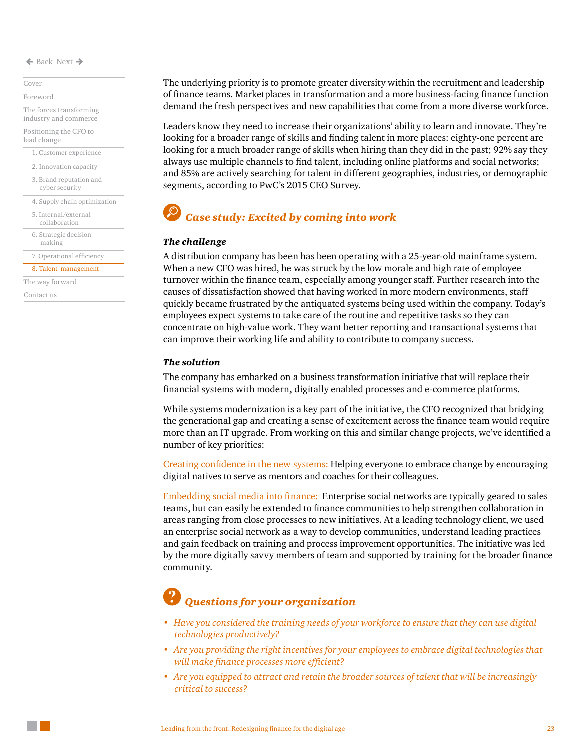[Cover](#page-0-0) [Foreword](#page-1-0)

[The forces transforming](#page-2-0)  [industry and commerce](#page-2-0) [Positioning the CFO to](#page-5-0)  [lead change](#page-5-0)

[1. Customer experience](#page-7-0)

[2. Innovation capacity](#page-9-0)

[3. Brand reputation and](#page-11-0)  cyber security

[4. Supply chain optimization](#page-12-0)  [5. Internal/external](#page-14-0)  collaboration

[6. Strategic decision](#page-16-0)  making

[7. Operational efficiency](#page-18-0)

#### [8. Talent management](#page-21-0)

[The way forward](#page-23-0)

[Contact us](#page-24-0)

The underlying priority is to promote greater diversity within the recruitment and leadership of finance teams. Marketplaces in transformation and a more business-facing finance function demand the fresh perspectives and new capabilities that come from a more diverse workforce.

Leaders know they need to increase their organizations' ability to learn and innovate. They're looking for a broader range of skills and finding talent in more places: eighty-one percent are looking for a much broader range of skills when hiring than they did in the past; 92% say they always use multiple channels to find talent, including online platforms and social networks; and 85% are actively searching for talent in different geographies, industries, or demographic segments, according to PwC's 2015 CEO Survey.

### *Case study: Excited by coming into work*

#### *The challenge*

A distribution company has been has been operating with a 25-year-old mainframe system. When a new CFO was hired, he was struck by the low morale and high rate of employee turnover within the finance team, especially among younger staff. Further research into the causes of dissatisfaction showed that having worked in more modern environments, staff quickly became frustrated by the antiquated systems being used within the company. Today's employees expect systems to take care of the routine and repetitive tasks so they can concentrate on high-value work. They want better reporting and transactional systems that can improve their working life and ability to contribute to company success.

#### *The solution*

The company has embarked on a business transformation initiative that will replace their financial systems with modern, digitally enabled processes and e-commerce platforms.

While systems modernization is a key part of the initiative, the CFO recognized that bridging the generational gap and creating a sense of excitement across the finance team would require more than an IT upgrade. From working on this and similar change projects, we've identified a number of key priorities:

Creating confidence in the new systems: Helping everyone to embrace change by encouraging digital natives to serve as mentors and coaches for their colleagues.

Embedding social media into finance: Enterprise social networks are typically geared to sales teams, but can easily be extended to finance communities to help strengthen collaboration in areas ranging from close processes to new initiatives. At a leading technology client, we used an enterprise social network as a way to develop communities, understand leading practices and gain feedback on training and process improvement opportunities. The initiative was led by the more digitally savvy members of team and supported by training for the broader finance community.

- *• Have you considered the training needs of your workforce to ensure that they can use digital technologies productively?*
- *• Are you providing the right incentives for your employees to embrace digital technologies that will make finance processes more efficient?*
- *• Are you equipped to attract and retain the broader sources of talent that will be increasingly critical to success?*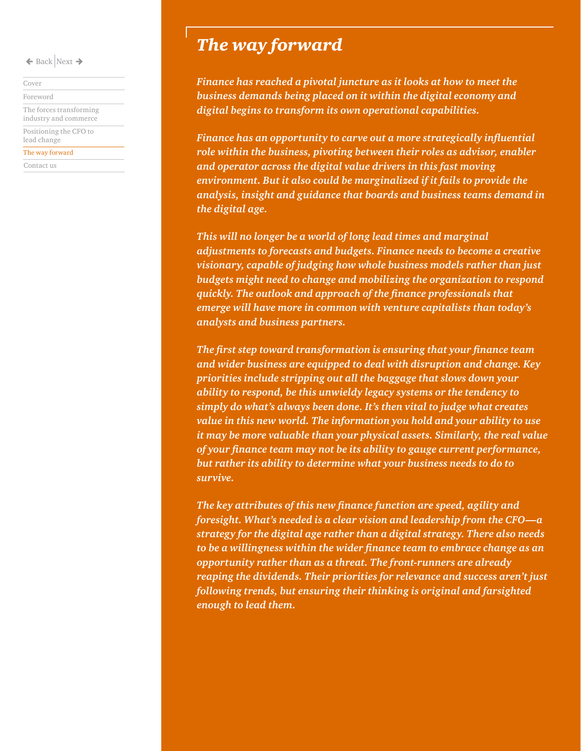[Cover](#page-0-0)

[Foreword](#page-1-0)

[The forces transforming](#page-2-0)  [industry and commerce](#page-2-0) [Positioning the CFO to](#page-5-0) 

[lead change](#page-5-0)

[The way forward](#page-23-0)

[Contact us](#page-24-0)

### <span id="page-23-0"></span>*The way forward*

*Finance has reached a pivotal juncture as it looks at how to meet the business demands being placed on it within the digital economy and digital begins to transform its own operational capabilities.* 

*Finance has an opportunity to carve out a more strategically influential role within the business, pivoting between their roles as advisor, enabler and operator across the digital value drivers in this fast moving environment. But it also could be marginalized if it fails to provide the analysis, insight and guidance that boards and business teams demand in the digital age.* 

*This will no longer be a world of long lead times and marginal adjustments to forecasts and budgets. Finance needs to become a creative visionary, capable of judging how whole business models rather than just budgets might need to change and mobilizing the organization to respond quickly. The outlook and approach of the finance professionals that emerge will have more in common with venture capitalists than today's analysts and business partners.* 

*The first step toward transformation is ensuring that your finance team and wider business are equipped to deal with disruption and change. Key priorities include stripping out all the baggage that slows down your ability to respond, be this unwieldy legacy systems or the tendency to simply do what's always been done. It's then vital to judge what creates value in this new world. The information you hold and your ability to use it may be more valuable than your physical assets. Similarly, the real value of your finance team may not be its ability to gauge current performance, but rather its ability to determine what your business needs to do to survive.*

*The key attributes of this new finance function are speed, agility and foresight. What's needed is a clear vision and leadership from the CFO—a strategy for the digital age rather than a digital strategy. There also needs to be a willingness within the wider finance team to embrace change as an opportunity rather than as a threat. The front-runners are already reaping the dividends. Their priorities for relevance and success aren't just following trends, but ensuring their thinking is original and farsighted enough to lead them.*